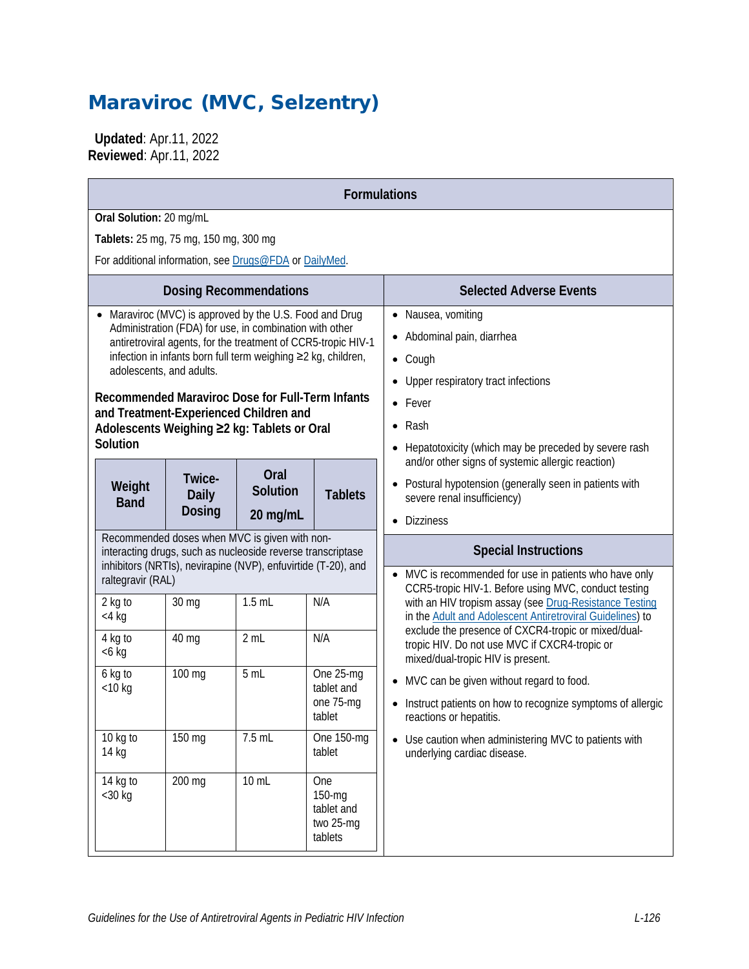# Maraviroc (MVC, Selzentry)

 **Updated**: Apr.11, 2022 **Reviewed**: Apr.11, 2022

| <b>Formulations</b>                                                                                                                                                                                                                                                                                                                                                                                                                     |                                         |                               |                                                     |                                                                                                                                                                                                                                                                                     |  |  |  |
|-----------------------------------------------------------------------------------------------------------------------------------------------------------------------------------------------------------------------------------------------------------------------------------------------------------------------------------------------------------------------------------------------------------------------------------------|-----------------------------------------|-------------------------------|-----------------------------------------------------|-------------------------------------------------------------------------------------------------------------------------------------------------------------------------------------------------------------------------------------------------------------------------------------|--|--|--|
| Oral Solution: 20 mg/mL                                                                                                                                                                                                                                                                                                                                                                                                                 |                                         |                               |                                                     |                                                                                                                                                                                                                                                                                     |  |  |  |
|                                                                                                                                                                                                                                                                                                                                                                                                                                         | Tablets: 25 mg, 75 mg, 150 mg, 300 mg   |                               |                                                     |                                                                                                                                                                                                                                                                                     |  |  |  |
| For additional information, see Drugs@FDA or DailyMed.                                                                                                                                                                                                                                                                                                                                                                                  |                                         |                               |                                                     |                                                                                                                                                                                                                                                                                     |  |  |  |
|                                                                                                                                                                                                                                                                                                                                                                                                                                         |                                         | <b>Dosing Recommendations</b> |                                                     | <b>Selected Adverse Events</b>                                                                                                                                                                                                                                                      |  |  |  |
| Maraviroc (MVC) is approved by the U.S. Food and Drug<br>Administration (FDA) for use, in combination with other<br>antiretroviral agents, for the treatment of CCR5-tropic HIV-1<br>infection in infants born full term weighing ≥2 kg, children,<br>adolescents, and adults.<br>Recommended Maraviroc Dose for Full-Term Infants<br>and Treatment-Experienced Children and<br>Adolescents Weighing ≥2 kg: Tablets or Oral<br>Solution |                                         |                               |                                                     | • Nausea, vomiting<br>• Abdominal pain, diarrhea<br>$\bullet$ Cough<br>Upper respiratory tract infections<br>$\bullet$ Fever<br>$\bullet$ Rash<br>Hepatotoxicity (which may be preceded by severe rash                                                                              |  |  |  |
| Weight<br><b>Band</b>                                                                                                                                                                                                                                                                                                                                                                                                                   | Twice-<br><b>Daily</b><br><b>Dosing</b> | Oral<br>Solution<br>20 mg/mL  | <b>Tablets</b>                                      | and/or other signs of systemic allergic reaction)<br>• Postural hypotension (generally seen in patients with<br>severe renal insufficiency)<br><b>Dizziness</b><br>$\bullet$                                                                                                        |  |  |  |
| Recommended doses when MVC is given with non-<br>interacting drugs, such as nucleoside reverse transcriptase<br>inhibitors (NRTIs), nevirapine (NVP), enfuvirtide (T-20), and<br>raltegravir (RAL)                                                                                                                                                                                                                                      |                                         |                               |                                                     | <b>Special Instructions</b><br>• MVC is recommended for use in patients who have only                                                                                                                                                                                               |  |  |  |
| 2 kg to<br>$<$ 4 kg<br>4 kg to<br>$<6$ kg                                                                                                                                                                                                                                                                                                                                                                                               | 30 mg<br>40 mg                          | $1.5$ mL<br>2 mL              | N/A<br>N/A                                          | CCR5-tropic HIV-1. Before using MVC, conduct testing<br>with an HIV tropism assay (see Drug-Resistance Testing<br>in the Adult and Adolescent Antiretroviral Guidelines) to<br>exclude the presence of CXCR4-tropic or mixed/dual-<br>tropic HIV. Do not use MVC if CXCR4-tropic or |  |  |  |
| 6 kg to<br>$<$ 10 kg                                                                                                                                                                                                                                                                                                                                                                                                                    | 100 mg                                  | 5 mL                          | One 25-mg<br>tablet and<br>one 75-mg<br>tablet      | mixed/dual-tropic HIV is present.<br>• MVC can be given without regard to food.<br>Instruct patients on how to recognize symptoms of allergic<br>reactions or hepatitis.                                                                                                            |  |  |  |
| 10 kg to<br>14 kg                                                                                                                                                                                                                                                                                                                                                                                                                       | 150 mg                                  | 7.5 mL                        | One 150-mg<br>tablet                                | Use caution when administering MVC to patients with<br>underlying cardiac disease.                                                                                                                                                                                                  |  |  |  |
| 14 kg to<br>$<$ 30 kg                                                                                                                                                                                                                                                                                                                                                                                                                   | 200 mg                                  | 10 mL                         | One<br>150-mg<br>tablet and<br>two 25-mg<br>tablets |                                                                                                                                                                                                                                                                                     |  |  |  |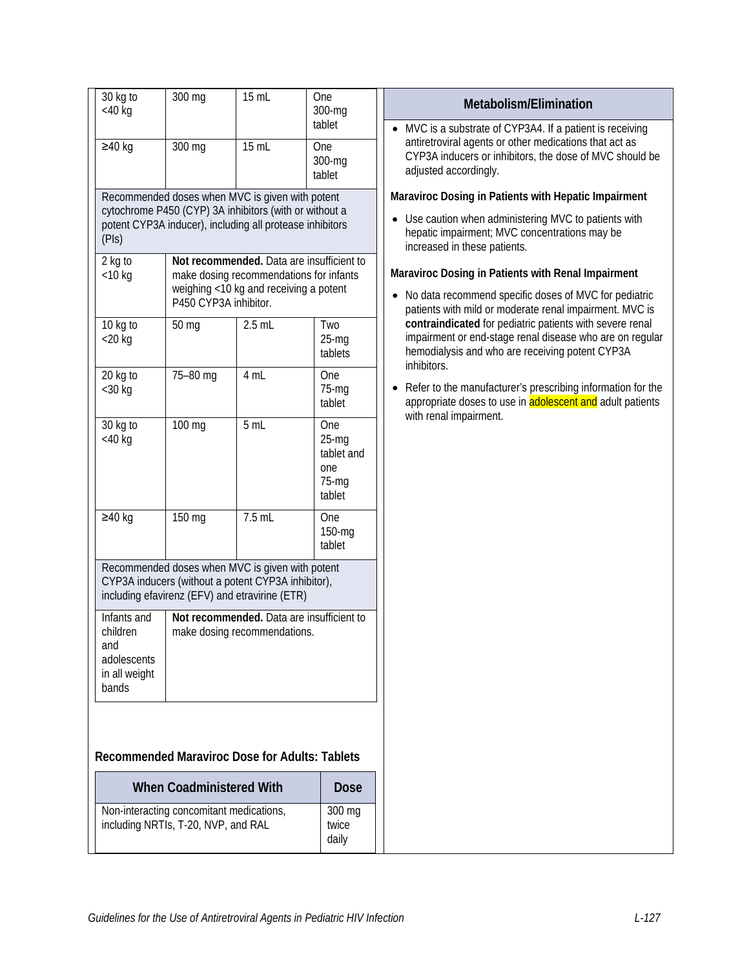| 30 kg to<br>$<$ 40 $kg$ | 300 mg                                                                          | 15 mL                                                                                                                                                                                                                          | <b>One</b><br>300-mg    | Metabolism/Elimination                                                                                                                                                                 |  |  |
|-------------------------|---------------------------------------------------------------------------------|--------------------------------------------------------------------------------------------------------------------------------------------------------------------------------------------------------------------------------|-------------------------|----------------------------------------------------------------------------------------------------------------------------------------------------------------------------------------|--|--|
|                         |                                                                                 |                                                                                                                                                                                                                                | tablet                  | • MVC is a substrate of CYP3A4. If a patient is receiving<br>antiretroviral agents or other medications that act as                                                                    |  |  |
| $≥40$ kg                | 300 mg                                                                          | 15 mL                                                                                                                                                                                                                          | One<br>300-mg<br>tablet | CYP3A inducers or inhibitors, the dose of MVC should be<br>adjusted accordingly.                                                                                                       |  |  |
|                         |                                                                                 | Recommended doses when MVC is given with potent                                                                                                                                                                                |                         | Maraviroc Dosing in Patients with Hepatic Impairment                                                                                                                                   |  |  |
| (PIs)                   |                                                                                 | cytochrome P450 (CYP) 3A inhibitors (with or without a<br>potent CYP3A inducer), including all protease inhibitors                                                                                                             |                         | • Use caution when administering MVC to patients with<br>hepatic impairment; MVC concentrations may be<br>increased in these patients.                                                 |  |  |
| 2 kg to                 |                                                                                 | Not recommended. Data are insufficient to                                                                                                                                                                                      |                         | Maraviroc Dosing in Patients with Renal Impairment                                                                                                                                     |  |  |
| $<$ 10 kg               |                                                                                 | make dosing recommendations for infants<br>weighing <10 kg and receiving a potent<br>No data recommend specific doses of MVC for pediatric<br>P450 CYP3A inhibitor.<br>patients with mild or moderate renal impairment. MVC is |                         |                                                                                                                                                                                        |  |  |
| 10 kg to                | 50 mg                                                                           | $2.5$ mL                                                                                                                                                                                                                       | Two                     | contraindicated for pediatric patients with severe renal<br>impairment or end-stage renal disease who are on regular<br>hemodialysis and who are receiving potent CYP3A<br>inhibitors. |  |  |
| $<$ 20 kg               |                                                                                 |                                                                                                                                                                                                                                | $25-mg$<br>tablets      |                                                                                                                                                                                        |  |  |
| 20 kg to<br>$<$ 30 $kg$ | 75-80 mg                                                                        | 4 mL                                                                                                                                                                                                                           | One<br>$75 - mg$        | Refer to the manufacturer's prescribing information for the                                                                                                                            |  |  |
|                         |                                                                                 |                                                                                                                                                                                                                                | tablet                  | appropriate doses to use in <b>adolescent and</b> adult patients                                                                                                                       |  |  |
| 30 kg to                | 100 mg                                                                          | 5 mL                                                                                                                                                                                                                           | One                     | with renal impairment.                                                                                                                                                                 |  |  |
| $<$ 40 $kg$             |                                                                                 |                                                                                                                                                                                                                                | $25-mq$<br>tablet and   |                                                                                                                                                                                        |  |  |
|                         |                                                                                 |                                                                                                                                                                                                                                | one<br>$75-mq$          |                                                                                                                                                                                        |  |  |
|                         |                                                                                 |                                                                                                                                                                                                                                | tablet                  |                                                                                                                                                                                        |  |  |
| $≥40$ kg                | 150 mg                                                                          | 7.5 mL                                                                                                                                                                                                                         | One                     |                                                                                                                                                                                        |  |  |
|                         |                                                                                 |                                                                                                                                                                                                                                | 150-mg<br>tablet        |                                                                                                                                                                                        |  |  |
|                         |                                                                                 | Recommended doses when MVC is given with potent                                                                                                                                                                                |                         |                                                                                                                                                                                        |  |  |
|                         |                                                                                 | CYP3A inducers (without a potent CYP3A inhibitor),<br>including efavirenz (EFV) and etravirine (ETR)                                                                                                                           |                         |                                                                                                                                                                                        |  |  |
| Infants and             |                                                                                 | Not recommended. Data are insufficient to                                                                                                                                                                                      |                         |                                                                                                                                                                                        |  |  |
| children<br>and         |                                                                                 | make dosing recommendations.                                                                                                                                                                                                   |                         |                                                                                                                                                                                        |  |  |
| adolescents             |                                                                                 |                                                                                                                                                                                                                                |                         |                                                                                                                                                                                        |  |  |
| in all weight<br>bands  |                                                                                 |                                                                                                                                                                                                                                |                         |                                                                                                                                                                                        |  |  |
|                         |                                                                                 |                                                                                                                                                                                                                                |                         |                                                                                                                                                                                        |  |  |
|                         |                                                                                 |                                                                                                                                                                                                                                |                         |                                                                                                                                                                                        |  |  |
|                         |                                                                                 | <b>Recommended Maraviroc Dose for Adults: Tablets</b>                                                                                                                                                                          |                         |                                                                                                                                                                                        |  |  |
|                         | <b>When Coadministered With</b>                                                 |                                                                                                                                                                                                                                | <b>Dose</b>             |                                                                                                                                                                                        |  |  |
|                         | Non-interacting concomitant medications,<br>including NRTIs, T-20, NVP, and RAL |                                                                                                                                                                                                                                | 300 mg<br>twice         |                                                                                                                                                                                        |  |  |
|                         |                                                                                 |                                                                                                                                                                                                                                | daily                   |                                                                                                                                                                                        |  |  |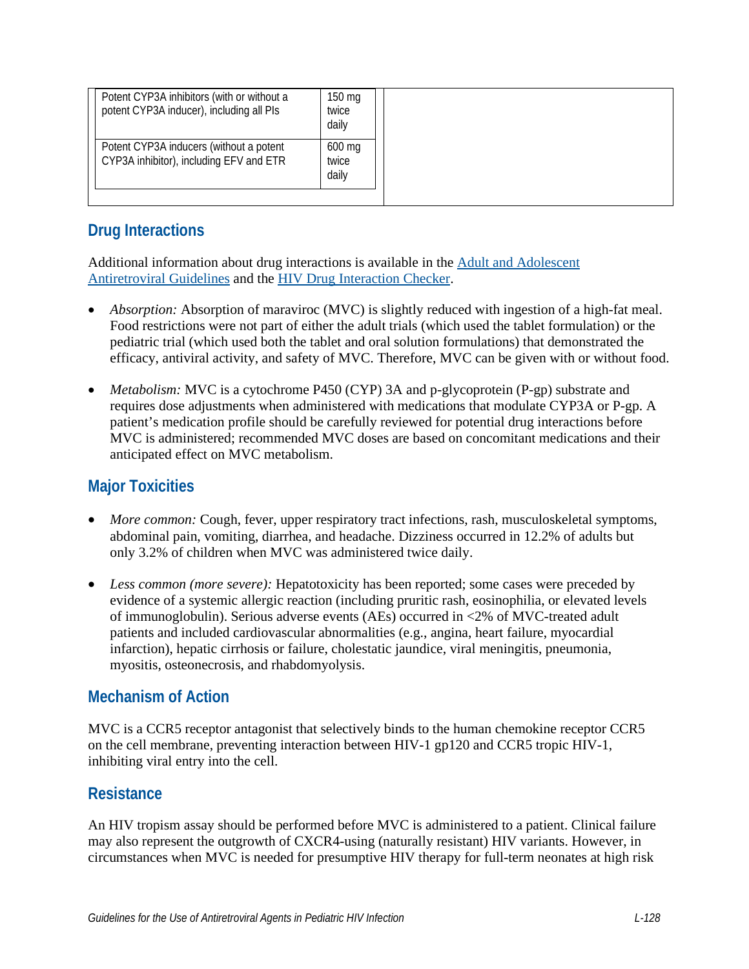| Potent CYP3A inhibitors (with or without a<br>potent CYP3A inducer), including all PIs | 150 mg<br>twice<br>daily |
|----------------------------------------------------------------------------------------|--------------------------|
| Potent CYP3A inducers (without a potent<br>CYP3A inhibitor), including EFV and ETR     | 600 mg<br>twice<br>daily |
|                                                                                        |                          |

## **Drug Interactions**

Additional information about drug interactions is available in the [Adult and Adolescent](https://clinicalinfo.hiv.gov/en/guidelines/adult-and-adolescent-arv/whats-new-guidelines)  [Antiretroviral Guidelines](https://clinicalinfo.hiv.gov/en/guidelines/adult-and-adolescent-arv/whats-new-guidelines) and the [HIV Drug Interaction Checker.](http://www.hiv-druginteractions.org/)

- *Absorption:* Absorption of maraviroc (MVC) is slightly reduced with ingestion of a high-fat meal. Food restrictions were not part of either the adult trials (which used the tablet formulation) or the pediatric trial (which used both the tablet and oral solution formulations) that demonstrated the efficacy, antiviral activity, and safety of MVC. Therefore, MVC can be given with or without food.
- *Metabolism:* MVC is a cytochrome P450 (CYP) 3A and p-glycoprotein (P-gp) substrate and requires dose adjustments when administered with medications that modulate CYP3A or P-gp. A patient's medication profile should be carefully reviewed for potential drug interactions before MVC is administered; recommended MVC doses are based on concomitant medications and their anticipated effect on MVC metabolism.

### **Major Toxicities**

- *More common:* Cough, fever, upper respiratory tract infections, rash, musculoskeletal symptoms, abdominal pain, vomiting, diarrhea, and headache. Dizziness occurred in 12.2% of adults but only 3.2% of children when MVC was administered twice daily.
- *Less common (more severe):* Hepatotoxicity has been reported; some cases were preceded by evidence of a systemic allergic reaction (including pruritic rash, eosinophilia, or elevated levels of immunoglobulin). Serious adverse events (AEs) occurred in <2% of MVC-treated adult patients and included cardiovascular abnormalities (e.g., angina, heart failure, myocardial infarction), hepatic cirrhosis or failure, cholestatic jaundice, viral meningitis, pneumonia, myositis, osteonecrosis, and rhabdomyolysis.

#### **Mechanism of Action**

MVC is a CCR5 receptor antagonist that selectively binds to the human chemokine receptor CCR5 on the cell membrane, preventing interaction between HIV-1 gp120 and CCR5 tropic HIV-1, inhibiting viral entry into the cell.

#### **Resistance**

An HIV tropism assay should be performed before MVC is administered to a patient. Clinical failure may also represent the outgrowth of CXCR4-using (naturally resistant) HIV variants. However, in circumstances when MVC is needed for presumptive HIV therapy for full-term neonates at high risk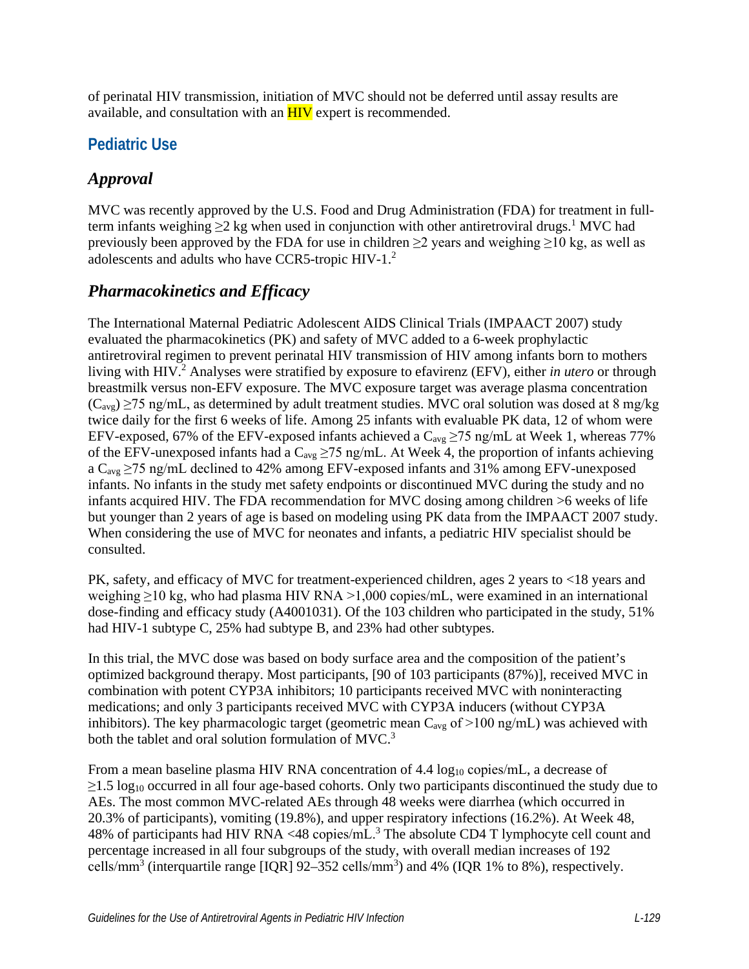of perinatal HIV transmission, initiation of MVC should not be deferred until assay results are available, and consultation with an  $HIV$  expert is recommended.

## **Pediatric Use**

## *Approval*

MVC was recently approved by the U.S. Food and Drug Administration (FDA) for treatment in fullterm infants weighing  $\geq$  2 kg when used in conjunction with other antiretroviral drugs.<sup>1</sup> MVC had previously been approved by the FDA for use in children  $\geq$ 2 years and weighing  $\geq$ 10 kg, as well as adolescents and adults who have CCR5-tropic HIV-1.[2](#page-4-1)

#### *Pharmacokinetics and Efficacy*

The International Maternal Pediatric Adolescent AIDS Clinical Trials (IMPAACT 2007) study evaluated the pharmacokinetics (PK) and safety of MVC added to a 6-week prophylactic antiretroviral regimen to prevent perinatal HIV transmission of HIV among infants born to mothers living with HIV.<sup>2</sup> Analyses were stratified by exposure to efavirenz (EFV), either *in utero* or through breastmilk versus non-EFV exposure. The MVC exposure target was average plasma concentration  $(C_{\text{avg}}) \ge 75$  ng/mL, as determined by adult treatment studies. MVC oral solution was dosed at 8 mg/kg twice daily for the first 6 weeks of life. Among 25 infants with evaluable PK data, 12 of whom were EFV-exposed, 67% of the EFV-exposed infants achieved a  $C_{avg} \ge 75$  ng/mL at Week 1, whereas 77% of the EFV-unexposed infants had a  $C_{avg} \ge 75$  ng/mL. At Week 4, the proportion of infants achieving a  $C_{\text{avg}} \ge 75$  ng/mL declined to 42% among EFV-exposed infants and 31% among EFV-unexposed infants. No infants in the study met safety endpoints or discontinued MVC during the study and no infants acquired HIV. The FDA recommendation for MVC dosing among children >6 weeks of life but younger than 2 years of age is based on modeling using PK data from the IMPAACT 2007 study. When considering the use of MVC for neonates and infants, a pediatric HIV specialist should be consulted.

PK, safety, and efficacy of MVC for treatment-experienced children, ages 2 years to <18 years and weighing ≥10 kg, who had plasma HIV RNA >1,000 copies/mL, were examined in an international dose-finding and efficacy study (A4001031). Of the 103 children who participated in the study, 51% had HIV-1 subtype C, 25% had subtype B, and 23% had other subtypes.

In this trial, the MVC dose was based on body surface area and the composition of the patient's optimized background therapy. Most participants, [90 of 103 participants (87%)], received MVC in combination with potent CYP3A inhibitors; 10 participants received MVC with noninteracting medications; and only 3 participants received MVC with CYP3A inducers (without CYP3A inhibitors). The key pharmacologic target (geometric mean  $C_{avg}$  of  $>100$  ng/mL) was achieved with both the tablet and oral solution formulation of MVC[.](#page-4-2)<sup>3</sup>

From a mean baseline plasma HIV RNA concentration of 4.4  $log_{10}$  copies/mL, a decrease of  $\geq$ 1.5 log<sub>10</sub> occurred in all four age-based cohorts. Only two participants discontinued the study due to AEs. The most common MVC-related AEs through 48 weeks were diarrhea (which occurred in 20.3% of participants), vomiting (19.8%), and upper respiratory infections (16.2%). At Week 48, 48% of participants had HIV RNA <48 copies/mL.<sup>[3](#page-4-2)</sup> The absolute CD4 T lymphocyte cell count and percentage increased in all four subgroups of the study, with overall median increases of 192 cells/mm<sup>3</sup> (interquartile range [IQR]  $92-352$  cells/mm<sup>3</sup>) and 4% (IQR 1% to 8%), respectively.